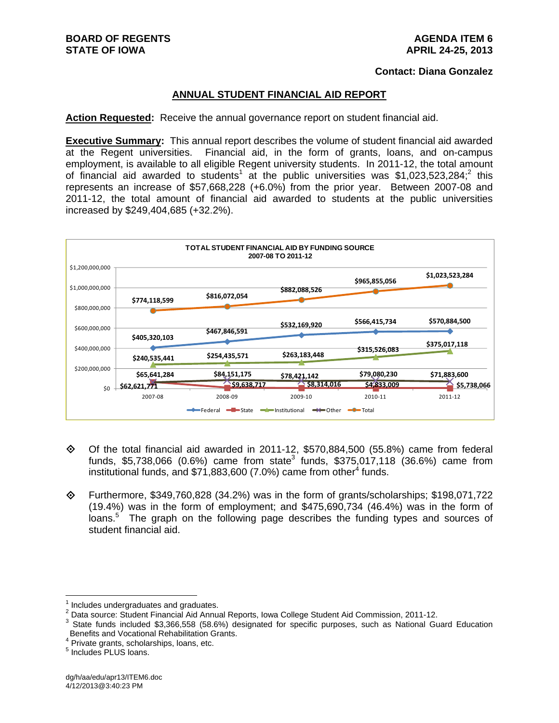#### **Contact: Diana Gonzalez**

# **ANNUAL STUDENT FINANCIAL AID REPORT**

**Action Requested:** Receive the annual governance report on student financial aid.

**Executive Summary:** This annual report describes the volume of student financial aid awarded at the Regent universities. Financial aid, in the form of grants, loans, and on-campus employment, is available to all eligible Regent university students. In 2011-12, the total amount of financial aid awarded to students<sup>1</sup> at the public universities was \$1,023,523,284;<sup>2</sup> this represents an increase of \$57,668,228 (+6.0%) from the prior year. Between 2007-08 and 2011-12, the total amount of financial aid awarded to students at the public universities increased by \$249,404,685 (+32.2%).



- $\diamond$  Of the total financial aid awarded in 2011-12, \$570,884,500 (55.8%) came from federal funds, \$5,738,066 (0.6%) came from state<sup>3</sup> funds, \$375,017,118 (36.6%) came from institutional funds, and \$71,883,600 (7.0%) came from other<sup>4</sup> funds.
- $\diamond$  Furthermore, \$349,760,828 (34.2%) was in the form of grants/scholarships; \$198,071,722 (19.4%) was in the form of employment; and \$475,690,734 (46.4%) was in the form of loans.<sup>5</sup> The graph on the following page describes the funding types and sources of student financial aid.

<sup>1</sup> Includes undergraduates and graduates.

<sup>&</sup>lt;sup>2</sup> Data source: Student Financial Aid Annual Reports, Iowa College Student Aid Commission, 2011-12.<br><sup>3</sup> State funds included \$3,366,558, (58,6%), designated for apositio purposes, auch as National Cu

<sup>&</sup>lt;sup>3</sup> State funds included \$3,366,558 (58.6%) designated for specific purposes, such as National Guard Education Benefits and Vocational Rehabilitation Grants.

<sup>&</sup>lt;sup>4</sup> Private grants, scholarships, loans, etc.

<sup>&</sup>lt;sup>5</sup> Includes PLUS loans.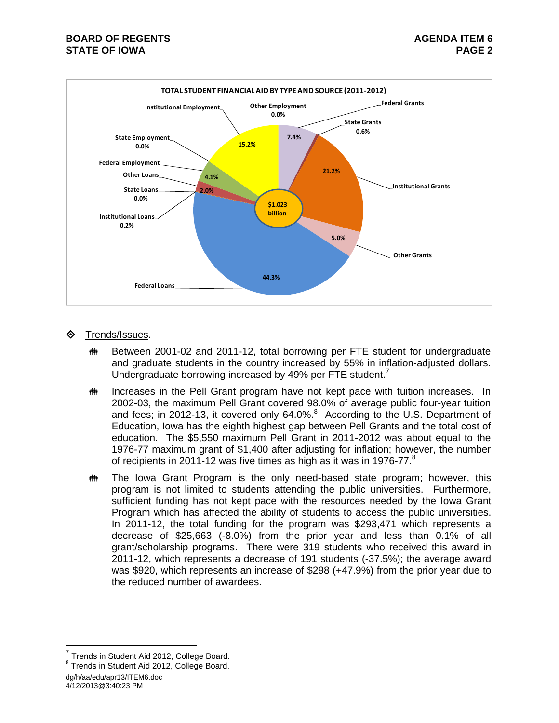

# **♦ Trends/Issues.**

- **##** Between 2001-02 and 2011-12, total borrowing per FTE student for undergraduate and graduate students in the country increased by 55% in inflation-adjusted dollars. Undergraduate borrowing increased by 49% per FTE student.<sup>7</sup>
- **IN Increases in the Pell Grant program have not kept pace with tuition increases.** In 2002-03, the maximum Pell Grant covered 98.0% of average public four-year tuition and fees; in 2012-13, it covered only 64.0%. $8$  According to the U.S. Department of Education, Iowa has the eighth highest gap between Pell Grants and the total cost of education. The \$5,550 maximum Pell Grant in 2011-2012 was about equal to the 1976-77 maximum grant of \$1,400 after adjusting for inflation; however, the number of recipients in 2011-12 was five times as high as it was in 1976-77.<sup>8</sup>
- **##** The Iowa Grant Program is the only need-based state program; however, this program is not limited to students attending the public universities. Furthermore, sufficient funding has not kept pace with the resources needed by the Iowa Grant Program which has affected the ability of students to access the public universities. In 2011-12, the total funding for the program was \$293,471 which represents a decrease of \$25,663 (-8.0%) from the prior year and less than 0.1% of all grant/scholarship programs. There were 319 students who received this award in 2011-12, which represents a decrease of 191 students (-37.5%); the average award was \$920, which represents an increase of \$298 (+47.9%) from the prior year due to the reduced number of awardees.

dg/h/aa/edu/apr13/ITEM6.doc 4/12/2013@3:40:23 PM

 $7$  Trends in Student Aid 2012, College Board.

<sup>&</sup>lt;sup>8</sup> Trends in Student Aid 2012, College Board.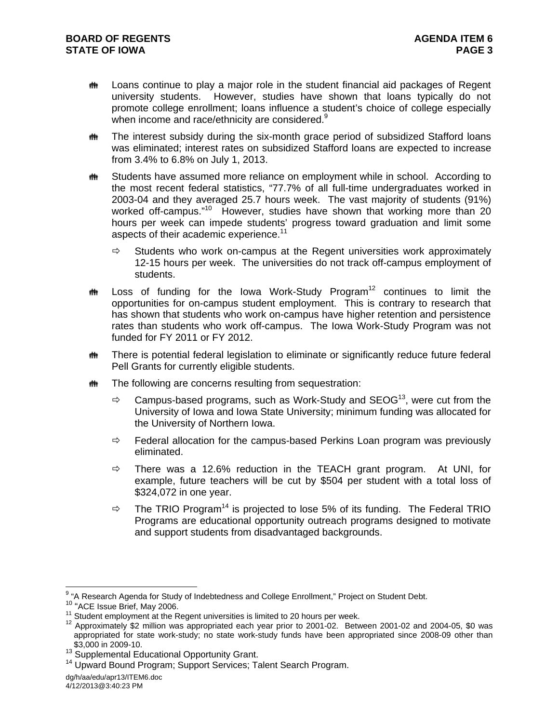- **##** Loans continue to play a major role in the student financial aid packages of Regent university students. However, studies have shown that loans typically do not promote college enrollment; loans influence a student's choice of college especially when income and race/ethnicity are considered.<sup>9</sup>
- **##** The interest subsidy during the six-month grace period of subsidized Stafford loans was eliminated; interest rates on subsidized Stafford loans are expected to increase from 3.4% to 6.8% on July 1, 2013.
- **##** Students have assumed more reliance on employment while in school. According to the most recent federal statistics, "77.7% of all full-time undergraduates worked in 2003-04 and they averaged 25.7 hours week. The vast majority of students (91%) worked off-campus."<sup>10</sup> However, studies have shown that working more than 20 hours per week can impede students' progress toward graduation and limit some aspects of their academic experience.<sup>11</sup>
	- $\Rightarrow$  Students who work on-campus at the Regent universities work approximately 12-15 hours per week. The universities do not track off-campus employment of students.
- $\ddot{\mathbf{m}}$  Loss of funding for the Iowa Work-Study Program<sup>12</sup> continues to limit the opportunities for on-campus student employment. This is contrary to research that has shown that students who work on-campus have higher retention and persistence rates than students who work off-campus. The Iowa Work-Study Program was not funded for FY 2011 or FY 2012.
- **##** There is potential federal legislation to eliminate or significantly reduce future federal Pell Grants for currently eligible students.
- **##** The following are concerns resulting from sequestration:
	- $\Rightarrow$  Campus-based programs, such as Work-Study and SEOG<sup>13</sup>, were cut from the University of Iowa and Iowa State University; minimum funding was allocated for the University of Northern Iowa.
	- $\Rightarrow$  Federal allocation for the campus-based Perkins Loan program was previously eliminated.
	- $\Rightarrow$  There was a 12.6% reduction in the TEACH grant program. At UNI, for example, future teachers will be cut by \$504 per student with a total loss of \$324,072 in one year.
	- $\Rightarrow$  The TRIO Program<sup>14</sup> is projected to lose 5% of its funding. The Federal TRIO Programs are educational opportunity outreach programs designed to motivate and support students from disadvantaged backgrounds.

<sup>-&</sup>lt;br>9

<sup>&</sup>lt;sup>10</sup> "ACE Issue Brief, May 2006.<br><sup>11</sup> Student employment at the Regent universities is limited to 20 hours per week.<br><sup>12</sup> Approximately \$2 million was appropriated each year prior to 2001-02. Between 2001-02 and 2004-05, \$ appropriated for state work-study; no state work-study funds have been appropriated since 2008-09 other than  $$3,000$  in 2009-10.<br><sup>13</sup> Supplemental Educational Opportunity Grant.

<sup>&</sup>lt;sup>14</sup> Upward Bound Program; Support Services; Talent Search Program.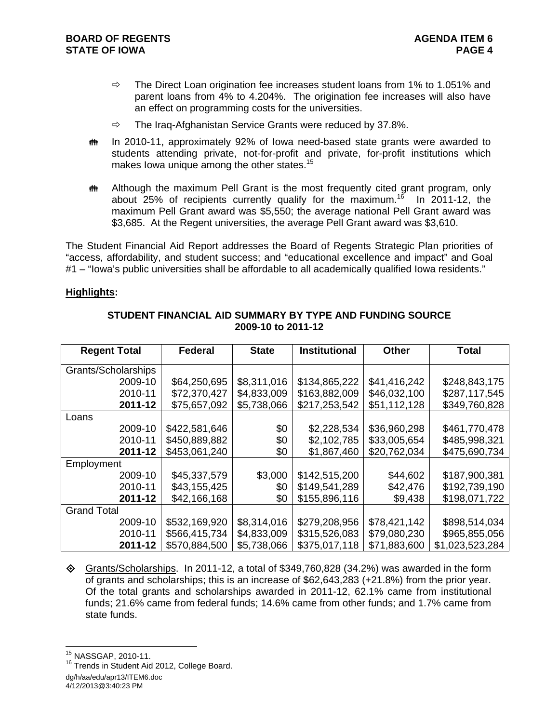- $\Rightarrow$  The Direct Loan origination fee increases student loans from 1% to 1.051% and parent loans from 4% to 4.204%. The origination fee increases will also have an effect on programming costs for the universities.
- $\Rightarrow$  The Iraq-Afghanistan Service Grants were reduced by 37.8%.
- **##** In 2010-11, approximately 92% of lowa need-based state grants were awarded to students attending private, not-for-profit and private, for-profit institutions which makes lowa unique among the other states.<sup>15</sup>
- **##** Although the maximum Pell Grant is the most frequently cited grant program, only about 25% of recipients currently qualify for the maximum.<sup>16</sup> In 2011-12, the maximum Pell Grant award was \$5,550; the average national Pell Grant award was \$3,685. At the Regent universities, the average Pell Grant award was \$3,610.

The Student Financial Aid Report addresses the Board of Regents Strategic Plan priorities of "access, affordability, and student success; and "educational excellence and impact" and Goal #1 – "lowa's public universities shall be affordable to all academically qualified lowa residents."

# **Highlights:**

| <b>Regent Total</b> | <b>Federal</b> |             | <b>Institutional</b> | <b>Other</b> | <b>Total</b>    |  |
|---------------------|----------------|-------------|----------------------|--------------|-----------------|--|
| Grants/Scholarships |                |             |                      |              |                 |  |
| 2009-10             | \$64,250,695   | \$8,311,016 | \$134,865,222        | \$41,416,242 | \$248,843,175   |  |
| 2010-11             | \$72,370,427   | \$4,833,009 | \$163,882,009        | \$46,032,100 | \$287,117,545   |  |
| 2011-12             | \$75,657,092   | \$5,738,066 | \$217,253,542        | \$51,112,128 | \$349,760,828   |  |
| Loans               |                |             |                      |              |                 |  |
| 2009-10             | \$422,581,646  | \$0         | \$2,228,534          | \$36,960,298 | \$461,770,478   |  |
| 2010-11             | \$450,889,882  | \$0         | \$2,102,785          | \$33,005,654 | \$485,998,321   |  |
| 2011-12             | \$453,061,240  | \$0         | \$1,867,460          | \$20,762,034 | \$475,690,734   |  |
| Employment          |                |             |                      |              |                 |  |
| 2009-10             | \$45,337,579   | \$3,000     | \$142,515,200        | \$44,602     | \$187,900,381   |  |
| 2010-11             | \$43,155,425   | \$0         | \$149,541,289        | \$42,476     | \$192,739,190   |  |
| 2011-12             | \$42,166,168   | \$0         | \$155,896,116        | \$9,438      | \$198,071,722   |  |
| <b>Grand Total</b>  |                |             |                      |              |                 |  |
| 2009-10             | \$532,169,920  | \$8,314,016 | \$279,208,956        | \$78,421,142 | \$898,514,034   |  |
| 2010-11             | \$566,415,734  | \$4,833,009 | \$315,526,083        | \$79,080,230 | \$965,855,056   |  |
| 2011-12             | \$570,884,500  | \$5,738,066 | \$375,017,118        | \$71,883,600 | \$1,023,523,284 |  |

# **STUDENT FINANCIAL AID SUMMARY BY TYPE AND FUNDING SOURCE 2009-10 to 2011-12**

 Grants/Scholarships. In 2011-12, a total of \$349,760,828 (34.2%) was awarded in the form of grants and scholarships; this is an increase of \$62,643,283 (+21.8%) from the prior year. Of the total grants and scholarships awarded in 2011-12, 62.1% came from institutional funds; 21.6% came from federal funds; 14.6% came from other funds; and 1.7% came from state funds.

<sup>&</sup>lt;sup>15</sup> NASSGAP, 2010-11.

dg/h/aa/edu/apr13/ITEM6.doc 4/12/2013@3:40:23 PM <sup>16</sup> Trends in Student Aid 2012, College Board.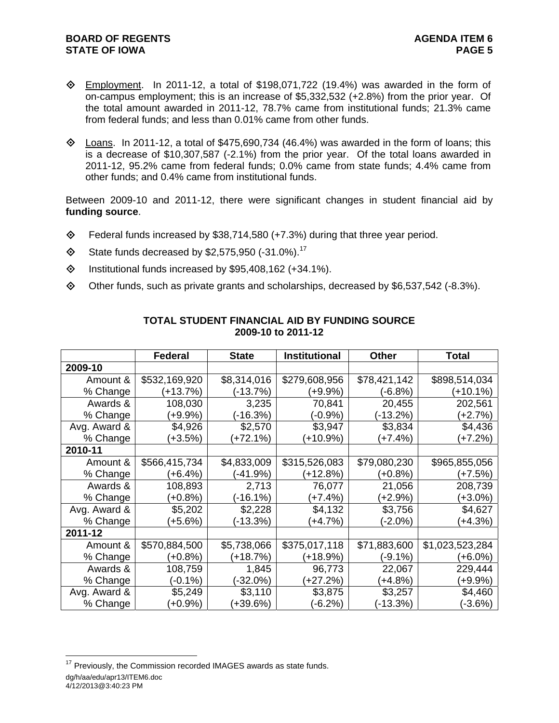- $\Diamond$  Employment. In 2011-12, a total of \$198,071,722 (19.4%) was awarded in the form of on-campus employment; this is an increase of \$5,332,532 (+2.8%) from the prior year. Of the total amount awarded in 2011-12, 78.7% came from institutional funds; 21.3% came from federal funds; and less than 0.01% came from other funds.
- $\diamond$  Loans. In 2011-12, a total of \$475,690,734 (46.4%) was awarded in the form of loans; this is a decrease of \$10,307,587 (-2.1%) from the prior year. Of the total loans awarded in 2011-12, 95.2% came from federal funds; 0.0% came from state funds; 4.4% came from other funds; and 0.4% came from institutional funds.

Between 2009-10 and 2011-12, there were significant changes in student financial aid by **funding source**.

- Federal funds increased by \$38,714,580 (+7.3%) during that three year period.
- $\textcircled{}$  State funds decreased by \$2,575,950 (-31.0%).<sup>17</sup>
- $\lozenge$  Institutional funds increased by \$95,408,162 (+34.1%).
- Other funds, such as private grants and scholarships, decreased by \$6,537,542 (-8.3%).

|              | <b>Federal</b> | <b>State</b> | <b>Institutional</b> | <b>Other</b> | <b>Total</b>    |
|--------------|----------------|--------------|----------------------|--------------|-----------------|
| 2009-10      |                |              |                      |              |                 |
| Amount &     | \$532,169,920  | \$8,314,016  | \$279,608,956        | \$78,421,142 | \$898,514,034   |
| % Change     | $(+13.7%)$     | $(-13.7%)$   | $(+9.9\%)$           | $(-6.8%)$    | $(+10.1%)$      |
| Awards &     | 108,030        | 3,235        | 70,841               | 20,455       | 202,561         |
| % Change     | (+9.9%)        | (-16.3%)     | $(-0.9\%)$           | $(-13.2%)$   | (+2.7%)         |
| Avg. Award & | \$4,926        | \$2,570      | \$3,947              | \$3,834      | \$4,436         |
| % Change     | (+3.5%)        | (+72.1%)     | (+10.9%)             | (+7.4%)      | $(+7.2%)$       |
| 2010-11      |                |              |                      |              |                 |
| Amount &     | \$566,415,734  | \$4,833,009  | \$315,526,083        | \$79,080,230 | \$965,855,056   |
| % Change     | (+6.4%)        | $(-41.9%)$   | $(+12.8%)$           | $(+0.8%)$    | (+7.5%)         |
| Awards &     | 108,893        | 2,713        | 76,077               | 21,056       | 208,739         |
| % Change     | $(+0.8%)$      | (-16.1%)     | $(+7.4%)$            | (+2.9%)      | (+3.0%)         |
| Avg. Award & | \$5,202        | \$2,228      | \$4,132              | \$3,756      | \$4,627         |
| % Change     | (+5.6%)        | (-13.3%)     | (+4.7%)              | (-2.0%)      | $(+4.3%)$       |
| 2011-12      |                |              |                      |              |                 |
| Amount &     | \$570,884,500  | \$5,738,066  | \$375,017,118        | \$71,883,600 | \$1,023,523,284 |
| % Change     | (+0.8%)        | (+18.7%)     | (+18.9%)             | $(-9.1\%)$   | (+6.0%)         |
| Awards &     | 108,759        | 1,845        | 96,773               | 22,067       | 229,444         |
| % Change     | $(-0.1\%)$     | (-32.0%)     | (+27.2%)             | $(+4.8%)$    | (+9.9%)         |
| Avg. Award & | \$5,249        | \$3,110      | \$3,875              | \$3,257      | \$4,460         |
| % Change     | $(+0.9\%)$     | $(+39.6%)$   | $(-6.2%)$            | (-13.3%)     | $(-3.6%)$       |

# **TOTAL STUDENT FINANCIAL AID BY FUNDING SOURCE 2009-10 to 2011-12**

dg/h/aa/edu/apr13/ITEM6.doc 4/12/2013@3:40:23 PM  $17$  Previously, the Commission recorded IMAGES awards as state funds.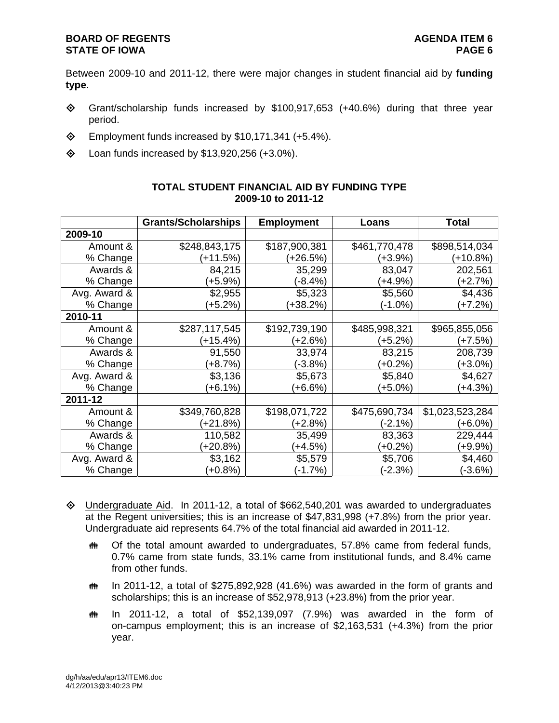Between 2009-10 and 2011-12, there were major changes in student financial aid by **funding type**.

- $\diamond$  Grant/scholarship funds increased by \$100,917,653 (+40.6%) during that three year period.
- $\diamond$  Employment funds increased by \$10,171,341 (+5.4%).
- $\lozenge$  Loan funds increased by \$13,920,256 (+3.0%).

|              | <b>Grants/Scholarships</b> | <b>Employment</b> | Loans         | Total           |
|--------------|----------------------------|-------------------|---------------|-----------------|
| 2009-10      |                            |                   |               |                 |
| Amount &     | \$248,843,175              | \$187,900,381     | \$461,770,478 | \$898,514,034   |
| % Change     | $(+11.5%)$                 | (+26.5%)          | (+3.9%)       | (+10.8%)        |
| Awards &     | 84,215                     | 35,299            | 83,047        | 202,561         |
| % Change     | $(+5.9\%)$                 | (-8.4%)           | (+4.9%)       | $(+2.7%)$       |
| Avg. Award & | \$2,955                    | \$5,323           | \$5,560       | \$4,436         |
| % Change     | $(+5.2%)$                  | (+38.2%)          | (-1.0%)       | (+7.2%)         |
| 2010-11      |                            |                   |               |                 |
| Amount &     | \$287,117,545              | \$192,739,190     | \$485,998,321 | \$965,855,056   |
| % Change     | (+15.4%)                   | (+2.6%)           | (+5.2%)       | (+7.5%)         |
| Awards &     | 91,550                     | 33,974            | 83,215        | 208,739         |
| % Change     | $(+8.7%)$                  | $(-3.8%)$         | $(+0.2\%)$    | (+3.0%)         |
| Avg. Award & | \$3,136                    | \$5,673           | \$5,840       | \$4,627         |
| % Change     | $(+6.1%)$                  | $(+6.6%)$         | (+5.0%)       | (+4.3%)         |
| 2011-12      |                            |                   |               |                 |
| Amount &     | \$349,760,828              | \$198,071,722     | \$475,690,734 | \$1,023,523,284 |
| % Change     | (+21.8%)                   | (+2.8%)           | (-2.1%)       | (+6.0%)         |
| Awards &     | 110,582                    | 35,499            | 83,363        | 229,444         |
| % Change     | $(+20.8%)$                 | $(+4.5%)$         | $(+0.2\%)$    | (+9.9%)         |
| Avg. Award & | \$3,162                    | \$5,579           | \$5,706       | \$4,460         |
| % Change     | $(+0.8%)$                  | $(-1.7%)$         | $(-2.3%)$     | $(-3.6%)$       |

# **TOTAL STUDENT FINANCIAL AID BY FUNDING TYPE 2009-10 to 2011-12**

- $\Diamond$  Undergraduate Aid. In 2011-12, a total of \$662,540,201 was awarded to undergraduates at the Regent universities; this is an increase of \$47,831,998 (+7.8%) from the prior year. Undergraduate aid represents 64.7% of the total financial aid awarded in 2011-12.
	- **##** Of the total amount awarded to undergraduates, 57.8% came from federal funds, 0.7% came from state funds, 33.1% came from institutional funds, and 8.4% came from other funds.
	- $m$  In 2011-12, a total of \$275,892,928 (41.6%) was awarded in the form of grants and scholarships; this is an increase of \$52,978,913 (+23.8%) from the prior year.
	- $m$  In 2011-12, a total of \$52,139,097 (7.9%) was awarded in the form of on-campus employment; this is an increase of \$2,163,531 (+4.3%) from the prior year.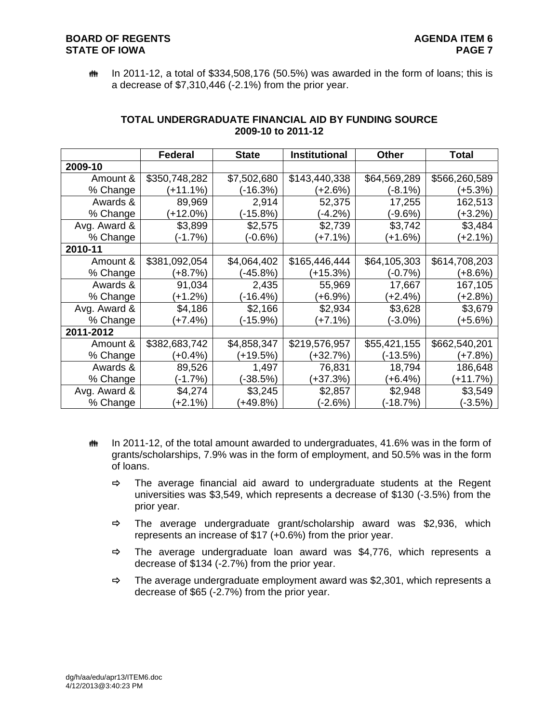# **BOARD OF REGENTS AGENTS** AGENDA ITEM 6 **STATE OF IOWA** PAGE 7

 $m$  In 2011-12, a total of \$334,508,176 (50.5%) was awarded in the form of loans; this is a decrease of \$7,310,446 (-2.1%) from the prior year.

|              | Federal       | <b>State</b> | <b>Institutional</b> | <b>Other</b> | <b>Total</b>  |
|--------------|---------------|--------------|----------------------|--------------|---------------|
| 2009-10      |               |              |                      |              |               |
| Amount &     | \$350,748,282 | \$7,502,680  | \$143,440,338        | \$64,569,289 | \$566,260,589 |
| % Change     | $(+11.1%)$    | (-16.3%)     | $(+2.6%)$            | $(-8.1\%)$   | $(+5.3%)$     |
| Awards &     | 89,969        | 2,914        | 52,375               | 17,255       | 162,513       |
| % Change     | $+12.0%$      | (-15.8%)     | $(-4.2%)$            | $(-9.6%)$    | (+3.2%)       |
| Avg. Award & | \$3,899       | \$2,575      | \$2,739              | \$3,742      | \$3,484       |
| % Change     | $(-1.7%)$     | $(-0.6%)$    | $(+7.1%)$            | $+1.6%$      | (+2.1%)       |
| 2010-11      |               |              |                      |              |               |
| Amount &     | \$381,092,054 | \$4,064,402  | \$165,446,444        | \$64,105,303 | \$614,708,203 |
| % Change     | $(+8.7%)$     | $(-45.8%)$   | (+15.3%)             | $(-0.7%)$    | (+8.6%)       |
| Awards &     | 91,034        | 2,435        | 55,969               | 17,667       | 167,105       |
| % Change     | $(+1.2%)$     | (-16.4%)     | (+6.9%)              | $(+2.4%)$    | $(+2.8%)$     |
| Avg. Award & | \$4,186       | \$2,166      | \$2,934              | \$3,628      | \$3,679       |
| % Change     | (+7.4%)       | (-15.9%)     | (+7.1%)              | $(-3.0\%)$   | (+5.6%)       |
| 2011-2012    |               |              |                      |              |               |
| Amount &     | \$382,683,742 | \$4,858,347  | \$219,576,957        | \$55,421,155 | \$662,540,201 |
| % Change     | $(+0.4%)$     | (+19.5%)     | $(+32.7%)$           | (-13.5%)     | (+7.8%)       |
| Awards &     | 89,526        | 1,497        | 76,831               | 18,794       | 186,648       |
| % Change     | (-1.7%)       | (-38.5%)     | (+37.3%)             | $(+6.4%)$    | $(+11.7%)$    |
| Avg. Award & | \$4,274       | \$3,245      | \$2,857              | \$2,948      | \$3,549       |
| % Change     | $(+2.1%)$     | $(+49.8%)$   | $(-2.6%)$            | $(-18.7%)$   | $(-3.5%)$     |

## **TOTAL UNDERGRADUATE FINANCIAL AID BY FUNDING SOURCE 2009-10 to 2011-12**

- $m$  In 2011-12, of the total amount awarded to undergraduates, 41.6% was in the form of grants/scholarships, 7.9% was in the form of employment, and 50.5% was in the form of loans.
	- $\Rightarrow$  The average financial aid award to undergraduate students at the Regent universities was \$3,549, which represents a decrease of \$130 (-3.5%) from the prior year.
	- $\Rightarrow$  The average undergraduate grant/scholarship award was \$2,936, which represents an increase of \$17 (+0.6%) from the prior year.
	- $\Rightarrow$  The average undergraduate loan award was \$4,776, which represents a decrease of \$134 (-2.7%) from the prior year.
	- $\Rightarrow$  The average undergraduate employment award was \$2,301, which represents a decrease of \$65 (-2.7%) from the prior year.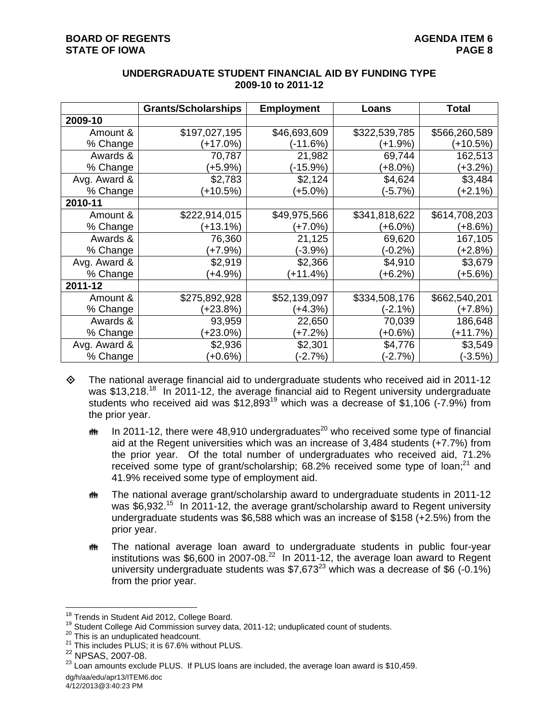|              | <b>Grants/Scholarships</b> | <b>Employment</b> | Loans         | <b>Total</b>  |
|--------------|----------------------------|-------------------|---------------|---------------|
| 2009-10      |                            |                   |               |               |
| Amount &     | \$197,027,195              | \$46,693,609      | \$322,539,785 | \$566,260,589 |
| % Change     | (+17.0%)                   | $(-11.6%)$        | (+1.9%)       | $(+10.5%)$    |
| Awards &     | 70,787                     | 21,982            | 69,744        | 162,513       |
| % Change     | $(+5.9%)$                  | (-15.9%)          | (+8.0%)       | (+3.2%)       |
| Avg. Award & | \$2,783                    | \$2,124           | \$4,624       | \$3,484       |
| % Change     | $(+10.5%)$                 | $(+5.0\%)$        | (-5.7%)       | $(+2.1%)$     |
| 2010-11      |                            |                   |               |               |
| Amount &     | \$222,914,015              | \$49,975,566      | \$341,818,622 | \$614,708,203 |
| % Change     | (+13.1%)                   | (+7.0%)           | (+6.0%)       | (+8.6%)       |
| Awards &     | 76,360                     | 21,125            | 69,620        | 167,105       |
| % Change     | (+7.9%)                    | (-3.9%)           | (-0.2%)       | (+2.8%)       |
| Avg. Award & | \$2,919                    | \$2,366           | \$4,910       | \$3,679       |
| % Change     | $(+4.9\%)$                 | $(+11.4%)$        | $(+6.2%)$     | $(+5.6%)$     |
| 2011-12      |                            |                   |               |               |
| Amount &     | \$275,892,928              | \$52,139,097      | \$334,508,176 | \$662,540,201 |
| % Change     | (+23.8%)                   | $(+4.3%)$         | (-2.1%)       | (+7.8%)       |
| Awards &     | 93,959                     | 22,650            | 70,039        | 186,648       |
| % Change     | $(+23.0\%)$                | (+7.2%)           | (+0.6%)       | $(+11.7%)$    |
| Avg. Award & | \$2,936                    | \$2,301           | \$4,776       | \$3,549       |
| % Change     | $(+0.6%)$                  | $(-2.7%)$         | (-2.7%)       | $(-3.5%)$     |

## **UNDERGRADUATE STUDENT FINANCIAL AID BY FUNDING TYPE 2009-10 to 2011-12**

- $\diamond$  The national average financial aid to undergraduate students who received aid in 2011-12 was \$13,218.<sup>18</sup> In 2011-12, the average financial aid to Regent university undergraduate students who received aid was \$12,89319 which was a decrease of \$1,106 (-7.9%) from the prior year.
	- **IN 10 10011-12, there were 48,910 undergraduates**<sup>20</sup> who received some type of financial aid at the Regent universities which was an increase of 3,484 students (+7.7%) from the prior year. Of the total number of undergraduates who received aid, 71.2% received some type of grant/scholarship;  $68.2\%$  received some type of loan;<sup>21</sup> and 41.9% received some type of employment aid.
	- **##** The national average grant/scholarship award to undergraduate students in 2011-12 was \$6,932.<sup>15</sup> In 2011-12, the average grant/scholarship award to Regent university undergraduate students was \$6,588 which was an increase of \$158 (+2.5%) from the prior year.
	- The national average loan award to undergraduate students in public four-year institutions was  $$6,600$  in 2007-08.<sup>22</sup> In 2011-12, the average loan award to Regent university undergraduate students was  $$7,673^{23}$  which was a decrease of \$6 (-0.1%) from the prior year.

 $\overline{a}$ 

<sup>&</sup>lt;sup>18</sup> Trends in Student Aid 2012, College Board.<br><sup>19</sup> Student College Aid Commission survey data, 2011-12; unduplicated count of students.<br><sup>20</sup> This is an unduplicated headcount.<br><sup>21</sup> This includes PLUS; it is 67.6% without

<sup>&</sup>lt;sup>21</sup> This includes PLUS; it is 67.6% without PLUS.<br>
<sup>22</sup> NPSAS, 2007-08.<br>
<sup>23</sup> Loan amounts exclude PLUS. If PLUS loans are included, the average loan award is \$10,459.

dg/h/aa/edu/apr13/ITEM6.doc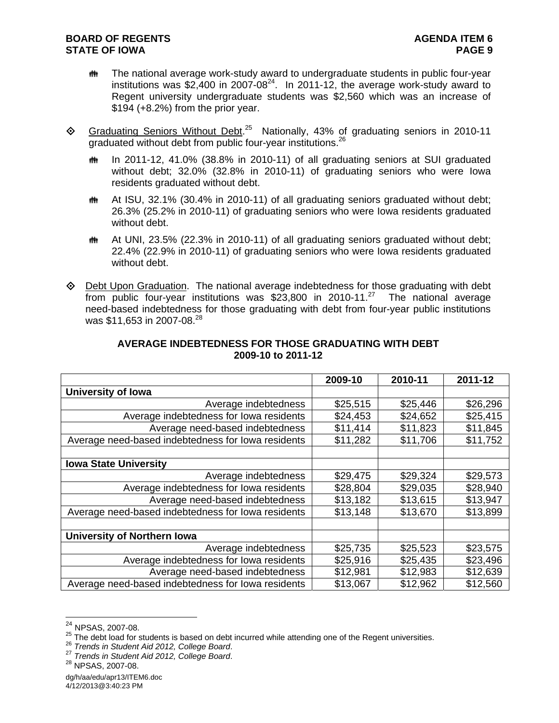# **BOARD OF REGENTS AGENTS** AGENDA ITEM 6 **STATE OF IOWA** PAGE 9

- **##** The national average work-study award to undergraduate students in public four-year institutions was  $$2,400$  in 2007-08<sup>24</sup>. In 2011-12, the average work-study award to Regent university undergraduate students was \$2,560 which was an increase of \$194 (+8.2%) from the prior year.
- ◆ Graduating Seniors Without Debt.<sup>25</sup> Nationally, 43% of graduating seniors in 2010-11 araduated without debt from public four-year institutions.<sup>26</sup>
	- th In 2011-12, 41.0% (38.8% in 2010-11) of all graduating seniors at SUI graduated without debt; 32.0% (32.8% in 2010-11) of graduating seniors who were Iowa residents graduated without debt.
	- **##** At ISU, 32.1% (30.4% in 2010-11) of all graduating seniors graduated without debt; 26.3% (25.2% in 2010-11) of graduating seniors who were Iowa residents graduated without debt.
	- **##** At UNI, 23.5% (22.3% in 2010-11) of all graduating seniors graduated without debt; 22.4% (22.9% in 2010-11) of graduating seniors who were Iowa residents graduated without debt.
- Debt Upon Graduation. The national average indebtedness for those graduating with debt from public four-year institutions was  $$23,800$  in 2010-11.<sup>27</sup> The national average need-based indebtedness for those graduating with debt from four-year public institutions was \$11,653 in 2007-08.<sup>28</sup>

|                                                    | 2009-10  | 2010-11  | 2011-12  |
|----------------------------------------------------|----------|----------|----------|
| University of Iowa                                 |          |          |          |
| Average indebtedness                               | \$25,515 | \$25,446 | \$26,296 |
| Average indebtedness for lowa residents            | \$24,453 | \$24,652 | \$25,415 |
| Average need-based indebtedness                    | \$11,414 | \$11,823 | \$11,845 |
| Average need-based indebtedness for lowa residents | \$11,282 | \$11,706 | \$11,752 |
|                                                    |          |          |          |
| <b>Iowa State University</b>                       |          |          |          |
| Average indebtedness                               | \$29,475 | \$29,324 | \$29,573 |
| Average indebtedness for lowa residents            | \$28,804 | \$29,035 | \$28,940 |
| Average need-based indebtedness                    | \$13,182 | \$13,615 | \$13,947 |
| Average need-based indebtedness for lowa residents | \$13,148 | \$13,670 | \$13,899 |
|                                                    |          |          |          |
| <b>University of Northern Iowa</b>                 |          |          |          |
| Average indebtedness                               | \$25,735 | \$25,523 | \$23,575 |
| Average indebtedness for lowa residents            | \$25,916 | \$25,435 | \$23,496 |
| Average need-based indebtedness                    | \$12,981 | \$12,983 | \$12,639 |
| Average need-based indebtedness for lowa residents | \$13,067 | \$12,962 | \$12,560 |

## **AVERAGE INDEBTEDNESS FOR THOSE GRADUATING WITH DEBT 2009-10 to 2011-12**

<sup>&</sup>lt;sup>24</sup> NPSAS, 2007-08.

<sup>&</sup>lt;sup>25</sup> The debt load for students is based on debt incurred while attending one of the Regent universities.<br>
<sup>26</sup> Trends in Student Aid 2012, College Board.<br>
<sup>27</sup> Trends in Student Aid 2012, College Board.<br>
<sup>28</sup> NPSAS, 2007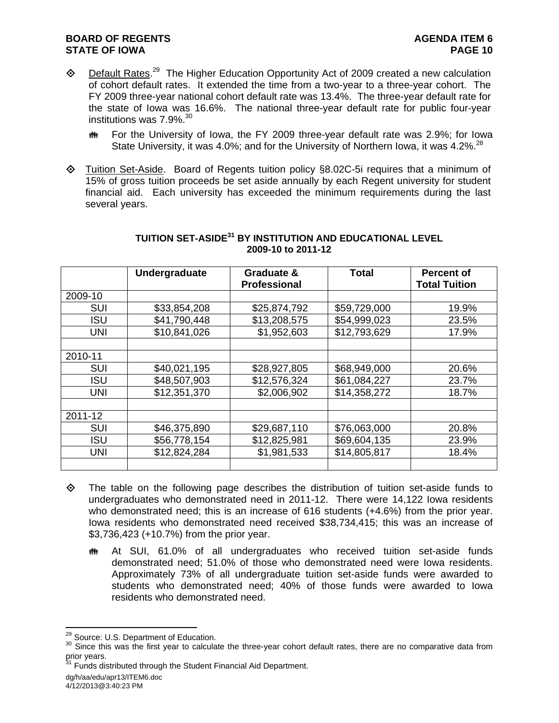- $\diamond$  Default Rates.<sup>29</sup> The Higher Education Opportunity Act of 2009 created a new calculation of cohort default rates. It extended the time from a two-year to a three-year cohort. The FY 2009 three-year national cohort default rate was 13.4%. The three-year default rate for the state of Iowa was 16.6%. The national three-year default rate for public four-year institutions was 7.9%.<sup>30</sup>
	- **##** For the University of Iowa, the FY 2009 three-year default rate was 2.9%; for Iowa State University, it was 4.0%; and for the University of Northern Iowa, it was 4.2%.<sup>28</sup>
- Tuition Set-Aside. Board of Regents tuition policy §8.02C-5i requires that a minimum of 15% of gross tuition proceeds be set aside annually by each Regent university for student financial aid. Each university has exceeded the minimum requirements during the last several years.

|            | Undergraduate | Graduate &          | <b>Total</b> | <b>Percent of</b>    |
|------------|---------------|---------------------|--------------|----------------------|
|            |               | <b>Professional</b> |              | <b>Total Tuition</b> |
| 2009-10    |               |                     |              |                      |
| <b>SUI</b> | \$33,854,208  | \$25,874,792        | \$59,729,000 | 19.9%                |
| <b>ISU</b> | \$41,790,448  | \$13,208,575        | \$54,999,023 | 23.5%                |
| <b>UNI</b> | \$10,841,026  | \$1,952,603         | \$12,793,629 | 17.9%                |
|            |               |                     |              |                      |
| 2010-11    |               |                     |              |                      |
| <b>SUI</b> | \$40,021,195  | \$28,927,805        | \$68,949,000 | 20.6%                |
| <b>ISU</b> | \$48,507,903  | \$12,576,324        | \$61,084,227 | 23.7%                |
| <b>UNI</b> | \$12,351,370  | \$2,006,902         | \$14,358,272 | 18.7%                |
|            |               |                     |              |                      |
| 2011-12    |               |                     |              |                      |
| <b>SUI</b> | \$46,375,890  | \$29,687,110        | \$76,063,000 | 20.8%                |
| <b>ISU</b> | \$56,778,154  | \$12,825,981        | \$69,604,135 | 23.9%                |
| <b>UNI</b> | \$12,824,284  | \$1,981,533         | \$14,805,817 | 18.4%                |
|            |               |                     |              |                      |

# **TUITION SET-ASIDE31 BY INSTITUTION AND EDUCATIONAL LEVEL 2009-10 to 2011-12**

- The table on the following page describes the distribution of tuition set-aside funds to undergraduates who demonstrated need in 2011-12. There were 14,122 Iowa residents who demonstrated need; this is an increase of 616 students (+4.6%) from the prior year. Iowa residents who demonstrated need received \$38,734,415; this was an increase of \$3,736,423 (+10.7%) from the prior year.
	- At SUI, 61.0% of all undergraduates who received tuition set-aside funds demonstrated need; 51.0% of those who demonstrated need were Iowa residents. Approximately 73% of all undergraduate tuition set-aside funds were awarded to students who demonstrated need; 40% of those funds were awarded to Iowa residents who demonstrated need.

<sup>&</sup>lt;sup>29</sup> Source: U.S. Department of Education.

<sup>&</sup>lt;sup>30</sup> Since this was the first year to calculate the three-year cohort default rates, there are no comparative data from prior years.

<sup>&</sup>lt;sup>31</sup> Funds distributed through the Student Financial Aid Department.

dg/h/aa/edu/apr13/ITEM6.doc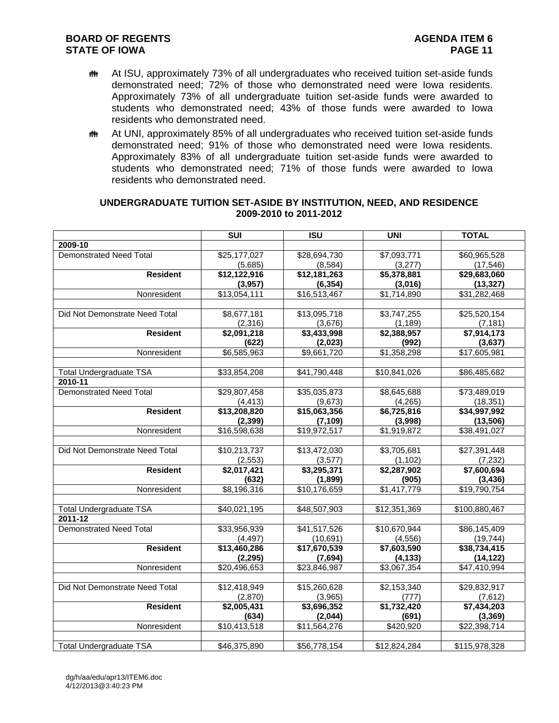- **##** At ISU, approximately 73% of all undergraduates who received tuition set-aside funds demonstrated need; 72% of those who demonstrated need were Iowa residents. Approximately 73% of all undergraduate tuition set-aside funds were awarded to students who demonstrated need; 43% of those funds were awarded to Iowa residents who demonstrated need.
- **##** At UNI, approximately 85% of all undergraduates who received tuition set-aside funds demonstrated need; 91% of those who demonstrated need were Iowa residents. Approximately 83% of all undergraduate tuition set-aside funds were awarded to students who demonstrated need; 71% of those funds were awarded to Iowa residents who demonstrated need.

|                                | $\overline{\text{SUI}}$ | <b>ISU</b>               | <b>UNI</b>              | <b>TOTAL</b>             |
|--------------------------------|-------------------------|--------------------------|-------------------------|--------------------------|
| 2009-10                        |                         |                          |                         |                          |
| <b>Demonstrated Need Total</b> | \$25,177,027            | \$28,694,730             | \$7,093,771             | \$60,965,528             |
|                                | (5,685)                 | (8,584)                  | (3,277)                 | (17, 546)                |
| <b>Resident</b>                | \$12,122,916            | \$12,181,263             | \$5,378,881             | \$29,683,060             |
|                                | (3,957)                 | (6, 354)                 | (3,016)                 | (13, 327)                |
| Nonresident                    | \$13,054,111            | \$16,513,467             | $\overline{1,714,890}$  | $\overline{$31,282,468}$ |
|                                |                         |                          |                         |                          |
| Did Not Demonstrate Need Total | \$8,677,181             | \$13,095,718             | \$3,747,255             | \$25,520,154             |
|                                | (2,316)                 | (3,676)                  | (1, 189)                | (7, 181)                 |
| <b>Resident</b>                | \$2,091,218             | $\overline{\$3,433,998}$ | \$2,388,957             | $\overline{\$7,914,173}$ |
|                                | (622)                   | (2,023)                  | (992)                   | (3,637)                  |
| Nonresident                    | $\overline{$6,585,963}$ | $\overline{$9,66}$ 1,720 | $\overline{1,358,298}$  | \$17,605,981             |
|                                |                         |                          |                         |                          |
| <b>Total Undergraduate TSA</b> | \$33,854,208            | \$41,790,448             | \$10,841,026            | \$86,485,682             |
| 2010-11                        |                         |                          |                         |                          |
| <b>Demonstrated Need Total</b> | \$29,807,458            | \$35,035,873             | \$8,645,688             | \$73,489,019             |
|                                | (4, 413)                | (9,673)                  | (4,265)                 | (18, 351)                |
| <b>Resident</b>                | \$13,208,820            | \$15,063,356             | \$6,725,816             | \$34,997,992             |
|                                | (2, 399)                | (7, 109)                 | (3,998)                 | (13,506)                 |
| Nonresident                    | \$16,598,638            | \$19,972,517             | \$1,919,872             | \$38,491,027             |
| Did Not Demonstrate Need Total | \$10,213,737            | \$13,472,030             | \$3,705,681             | \$27,391,448             |
|                                | (2, 553)                | (3,577)                  |                         |                          |
| <b>Resident</b>                | \$2,017,421             | \$3,295,371              | (1, 102)<br>\$2,287,902 | (7,232)<br>\$7,600,694   |
|                                | (632)                   | (1,899)                  | (905)                   | (3, 436)                 |
| Nonresident                    | \$8,196,316             | \$10,176,659             | \$1,417,779             | \$19,790,754             |
|                                |                         |                          |                         |                          |
| <b>Total Undergraduate TSA</b> | \$40,021,195            | \$48,507,903             | \$12,351,369            | \$100,880,467            |
| 2011-12                        |                         |                          |                         |                          |
| <b>Demonstrated Need Total</b> | \$33,956,939            | \$41,517,526             | \$10,670,944            | \$86,145,409             |
|                                | (4, 497)                | (10,691)                 | (4, 556)                | (19, 744)                |
| <b>Resident</b>                | \$13,460,286            | \$17,670,539             | \$7,603,590             | \$38,734,415             |
|                                | (2, 295)                | (7,694)                  | (4, 133)                | (14, 122)                |
| Nonresident                    | \$20,496,653            | \$23,846,987             | \$3,067,354             | $\sqrt{47,410,994}$      |
|                                |                         |                          |                         |                          |
| Did Not Demonstrate Need Total | \$12,418,949            | \$15,260,628             | \$2,153,340             | \$29,832,917             |
|                                | (2,870)                 | (3,965)                  | (777)                   | (7,612)                  |
| <b>Resident</b>                | \$2,005,431             | $\overline{3,696,352}$   | \$1,732,420             | \$7,434,203              |
|                                | (634)                   | (2,044)                  | (691)                   | (3, 369)                 |
| Nonresident                    | \$10,413,518            | $\overline{$1,564,276}$  | $\sqrt{420,920}$        | $\overline{$22,398,714}$ |
|                                |                         |                          |                         |                          |
| <b>Total Undergraduate TSA</b> | \$46,375,890            | \$56,778,154             | \$12,824,284            | \$115,978,328            |

#### **UNDERGRADUATE TUITION SET-ASIDE BY INSTITUTION, NEED, AND RESIDENCE 2009-2010 to 2011-2012**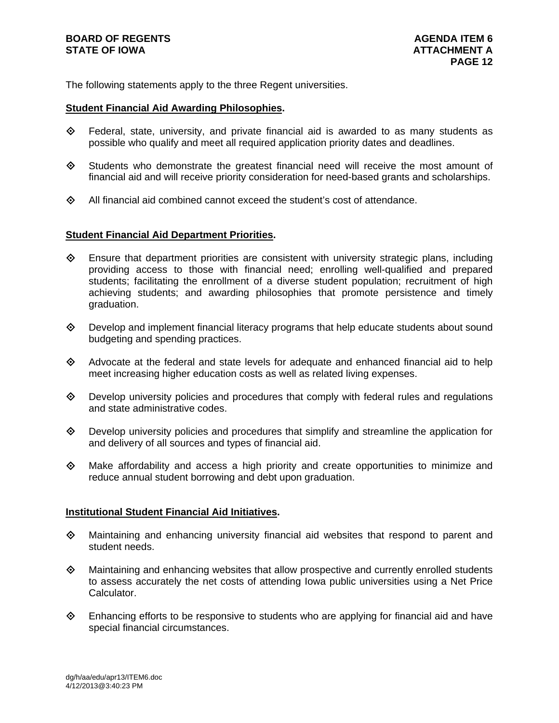# **BOARD OF REGENTS AGENDA ITEM 6 STATE OF IOWA ATTACHMENT A**

The following statements apply to the three Regent universities.

#### **Student Financial Aid Awarding Philosophies.**

- $\diamond$  Federal, state, university, and private financial aid is awarded to as many students as possible who qualify and meet all required application priority dates and deadlines.
- $\diamond$  Students who demonstrate the greatest financial need will receive the most amount of financial aid and will receive priority consideration for need-based grants and scholarships.
- $\diamond$  All financial aid combined cannot exceed the student's cost of attendance.

## **Student Financial Aid Department Priorities.**

- $\diamondsuit$  Ensure that department priorities are consistent with university strategic plans, including providing access to those with financial need; enrolling well-qualified and prepared students; facilitating the enrollment of a diverse student population; recruitment of high achieving students; and awarding philosophies that promote persistence and timely graduation.
- $\diamondsuit$  Develop and implement financial literacy programs that help educate students about sound budgeting and spending practices.
- $\diamond$  Advocate at the federal and state levels for adequate and enhanced financial aid to help meet increasing higher education costs as well as related living expenses.
- $\Diamond$  Develop university policies and procedures that comply with federal rules and regulations and state administrative codes.
- $\Diamond$  Develop university policies and procedures that simplify and streamline the application for and delivery of all sources and types of financial aid.
- $\Diamond$  Make affordability and access a high priority and create opportunities to minimize and reduce annual student borrowing and debt upon graduation.

# **Institutional Student Financial Aid Initiatives.**

- $\Diamond$  Maintaining and enhancing university financial aid websites that respond to parent and student needs.
- $\Diamond$  Maintaining and enhancing websites that allow prospective and currently enrolled students to assess accurately the net costs of attending Iowa public universities using a Net Price Calculator.
- $\Diamond$  Enhancing efforts to be responsive to students who are applying for financial aid and have special financial circumstances.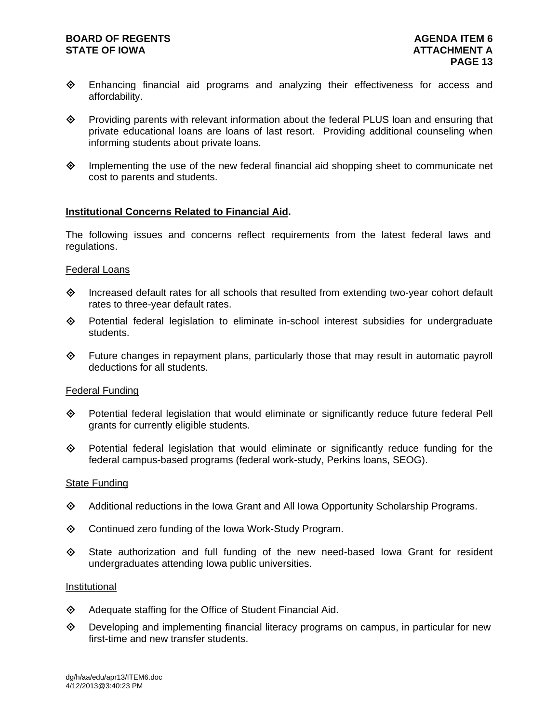# **BOARD OF REGENTS AGENTS** AGENDA ITEM 6 **STATE OF IOWA ATTACHMENT A**

- Enhancing financial aid programs and analyzing their effectiveness for access and affordability.
- $\diamond$  Providing parents with relevant information about the federal PLUS loan and ensuring that private educational loans are loans of last resort. Providing additional counseling when informing students about private loans.
- $\diamond$  Implementing the use of the new federal financial aid shopping sheet to communicate net cost to parents and students.

## **Institutional Concerns Related to Financial Aid.**

The following issues and concerns reflect requirements from the latest federal laws and regulations.

#### Federal Loans

- $\Diamond$  Increased default rates for all schools that resulted from extending two-year cohort default rates to three-year default rates.
- $\diamond$  Potential federal legislation to eliminate in-school interest subsidies for undergraduate students.
- $\Diamond$  Future changes in repayment plans, particularly those that may result in automatic payroll deductions for all students.

## Federal Funding

- Potential federal legislation that would eliminate or significantly reduce future federal Pell grants for currently eligible students.
- Potential federal legislation that would eliminate or significantly reduce funding for the federal campus-based programs (federal work-study, Perkins loans, SEOG).

#### State Funding

- $\diamond$  Additional reductions in the Iowa Grant and All Iowa Opportunity Scholarship Programs.
- ◆ Continued zero funding of the Iowa Work-Study Program.
- $\diamond$  State authorization and full funding of the new need-based lowa Grant for resident undergraduates attending Iowa public universities.

#### Institutional

- $\diamond$  Adequate staffing for the Office of Student Financial Aid.
- Developing and implementing financial literacy programs on campus, in particular for new first-time and new transfer students.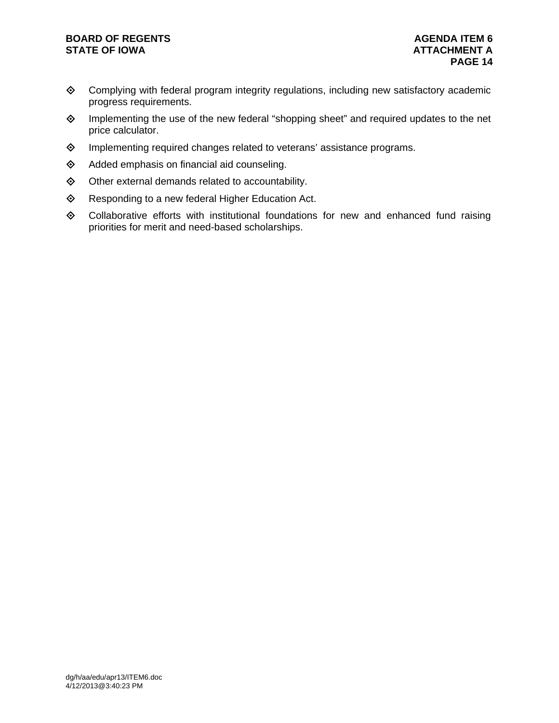# **BOARD OF REGENTS AGENDA ITEM 6**

- Complying with federal program integrity regulations, including new satisfactory academic progress requirements.
- Implementing the use of the new federal "shopping sheet" and required updates to the net price calculator.
- ♦ Implementing required changes related to veterans' assistance programs.
- $\diamond$  Added emphasis on financial aid counseling.
- $\diamond$  Other external demands related to accountability.
- ◆ Responding to a new federal Higher Education Act.
- Collaborative efforts with institutional foundations for new and enhanced fund raising priorities for merit and need-based scholarships.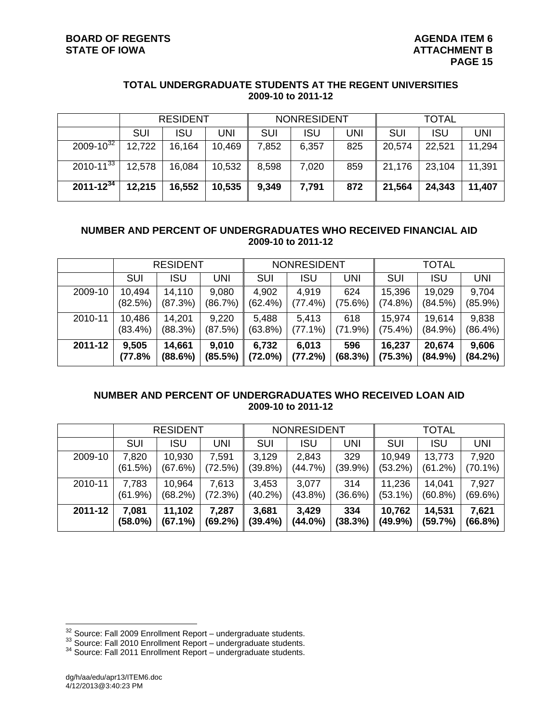#### **TOTAL UNDERGRADUATE STUDENTS AT THE REGENT UNIVERSITIES 2009-10 to 2011-12**

|                  | <b>RESIDENT</b> |            |        | <b>NONRESIDENT</b> |            |     | <b>TOTAL</b> |            |            |
|------------------|-----------------|------------|--------|--------------------|------------|-----|--------------|------------|------------|
|                  | SUI             | <b>ISU</b> | UNI    | <b>SUI</b>         | <b>ISU</b> | JNI | <b>SUI</b>   | <b>ISU</b> | <b>UNI</b> |
| $2009 - 10^{32}$ | 12,722          | 16,164     | 10,469 | 7,852              | 6,357      | 825 | 20,574       | 22,521     | 11,294     |
| $2010 - 11^{33}$ | 12,578          | 16,084     | 10,532 | 8,598              | 7,020      | 859 | 21,176       | 23,104     | 11,391     |
| $2011 - 12^{34}$ | 12,215          | 16,552     | 10,535 | 9,349              | 7,791      | 872 | 21,564       | 24,343     | 11,407     |

# **NUMBER AND PERCENT OF UNDERGRADUATES WHO RECEIVED FINANCIAL AID 2009-10 to 2011-12**

|         | <b>RESIDENT</b> |                   |                  | <b>NONRESIDENT</b>  |                  |                | <b>TOTAL</b>      |                   |                  |
|---------|-----------------|-------------------|------------------|---------------------|------------------|----------------|-------------------|-------------------|------------------|
|         | SUI             | <b>ISU</b>        | UNI              | SUI                 | ISU              | UNI            | SUI               | <b>ISU</b>        | <b>UNI</b>       |
| 2009-10 | 10,494          | 14,110            | 9,080            | 4,902               | 4,919            | 624            | 15,396            | 19,029            | 9,704            |
|         | (82.5%)         | (87.3%)           | (86.7%)          | (62.4%)             | $(77.4\%)$       | (75.6%)        | (74.8%)           | (84.5%)           | $(85.9\%)$       |
| 2010-11 | 10,486          | 14,201            | 9,220            | 5,488               | 5.413            | 618            | 15,974            | 19.614            | 9,838            |
|         | $(83.4\%)$      | (88.3%)           | (87.5%)          | $(63.8\%)$          | $(77.1\%)$       | (71.9%)        | $(75.4\%)$        | $(84.9\%)$        | $(86.4\%)$       |
| 2011-12 | 9,505<br>(77.8% | 14,661<br>(88.6%) | 9,010<br>(85.5%) | 6,732<br>$(72.0\%)$ | 6,013<br>(77.2%) | 596<br>(68.3%) | 16,237<br>(75.3%) | 20,674<br>(84.9%) | 9,606<br>(84.2%) |

# **NUMBER AND PERCENT OF UNDERGRADUATES WHO RECEIVED LOAN AID 2009-10 to 2011-12**

|         | <b>RESIDENT</b> |            |            | <b>NONRESIDENT</b> |            |            | <b>TOTAL</b> |            |            |
|---------|-----------------|------------|------------|--------------------|------------|------------|--------------|------------|------------|
|         | <b>SUI</b>      | <b>ISU</b> | <b>UNI</b> | SUI                | <b>ISU</b> | <b>UNI</b> | <b>SUI</b>   | <b>ISU</b> | <b>UNI</b> |
| 2009-10 | 7,820           | 10.930     | 7,591      | 3.129              | 2,843      | 329        | 10,949       | 13,773     | 7,920      |
|         | (61.5%)         | (67.6%)    | (72.5%)    | (39.8%)            | (44.7%)    | $(39.9\%)$ | (53.2%)      | (61.2%)    | $(70.1\%)$ |
| 2010-11 | 7,783           | 10,964     | 7,613      | 3.453              | 3,077      | 314        | 11,236       | 14.041     | 7,927      |
|         | (61.9%)         | (68.2%)    | (72.3%)    | $(40.2\%)$         | $(43.8\%)$ | (36.6%)    | $(53.1\%)$   | $(60.8\%)$ | (69.6%)    |
| 2011-12 | 7.081           | 11,102     | 7,287      | 3,681              | 3,429      | 334        | 10,762       | 14,531     | 7,621      |
|         | (58.0%)         | (67.1%)    | (69.2%)    | (39.4%)            | $(44.0\%)$ | (38.3%)    | $(49.9\%)$   | (59.7%)    | (66.8%)    |

<sup>&</sup>lt;sup>32</sup> Source: Fall 2009 Enrollment Report – undergraduate students.<br><sup>33</sup> Source: Fall 2010 Enrollment Report – undergraduate students.<br><sup>34</sup> Source: Fall 2011 Enrollment Report – undergraduate students.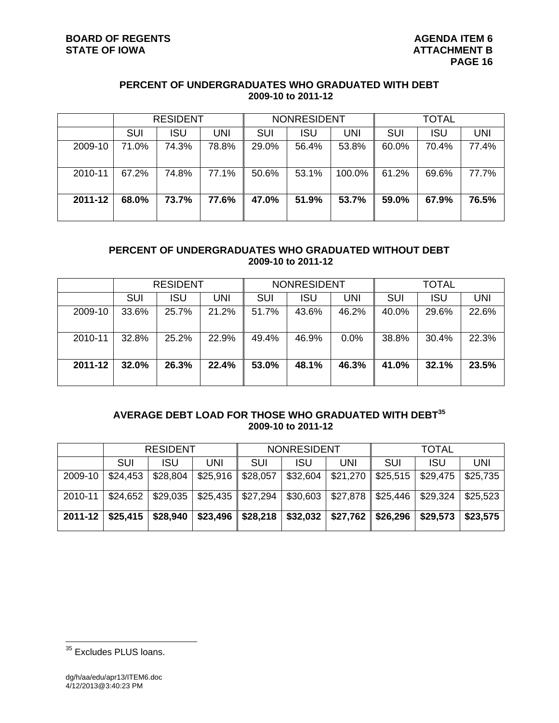# **PERCENT OF UNDERGRADUATES WHO GRADUATED WITH DEBT 2009-10 to 2011-12**

|         | <b>RESIDENT</b> |            |       | <b>NONRESIDENT</b> |       |        | <b>TOTAL</b> |       |            |
|---------|-----------------|------------|-------|--------------------|-------|--------|--------------|-------|------------|
|         | <b>SUI</b>      | <b>ISU</b> | UNI   | <b>SUI</b>         | ISU   | UNI    | SUI          | ISU   | <b>UNI</b> |
| 2009-10 | 71.0%           | 74.3%      | 78.8% | 29.0%              | 56.4% | 53.8%  | 60.0%        | 70.4% | 77.4%      |
| 2010-11 | 67.2%           | 74.8%      | 77.1% | 50.6%              | 53.1% | 100.0% | 61.2%        | 69.6% | 77.7%      |
| 2011-12 | 68.0%           | 73.7%      | 77.6% | 47.0%              | 51.9% | 53.7%  | 59.0%        | 67.9% | 76.5%      |

# **PERCENT OF UNDERGRADUATES WHO GRADUATED WITHOUT DEBT 2009-10 to 2011-12**

|         | <b>RESIDENT</b> |       |       | <b>NONRESIDENT</b> |       |         | <b>TOTAL</b> |            |            |
|---------|-----------------|-------|-------|--------------------|-------|---------|--------------|------------|------------|
|         | <b>SUI</b>      | ISU   | UNI   | SUI                | ISU   | UNI     | SUI          | <b>ISU</b> | <b>UNI</b> |
| 2009-10 | 33.6%           | 25.7% | 21.2% | 51.7%              | 43.6% | 46.2%   | 40.0%        | 29.6%      | 22.6%      |
| 2010-11 | 32.8%           | 25.2% | 22.9% | 49.4%              | 46.9% | $0.0\%$ | 38.8%        | 30.4%      | 22.3%      |
| 2011-12 | 32.0%           | 26.3% | 22.4% | 53.0%              | 48.1% | 46.3%   | 41.0%        | 32.1%      | 23.5%      |

# **AVERAGE DEBT LOAD FOR THOSE WHO GRADUATED WITH DEBT<sup>35</sup> 2009-10 to 2011-12**

|             | <b>RESIDENT</b> |            |           | <b>NONRESIDENT</b> |            |          | <b>TOTAL</b> |            |          |
|-------------|-----------------|------------|-----------|--------------------|------------|----------|--------------|------------|----------|
|             | SUI             | <b>ISU</b> | UNI       | <b>SUI</b>         | <b>ISU</b> | UNI      | <b>SUI</b>   | <b>ISU</b> | UNI      |
| 2009-10     | \$24,453        | \$28,804   | \$25,916  | \$28,057           | \$32,604   | \$21,270 | \$25,515     | \$29,475   | \$25,735 |
| 2010-11     | \$24,652        | \$29,035   | $$25,435$ | \$27,294           | \$30,603   | \$27,878 | \$25,446     | \$29,324   | \$25,523 |
| $2011 - 12$ | \$25,415        | \$28,940   | \$23,496  | \$28,218           | \$32,032   | \$27,762 | \$26,296     | \$29,573   | \$23,575 |

<sup>&</sup>lt;sup>35</sup> Excludes PLUS loans.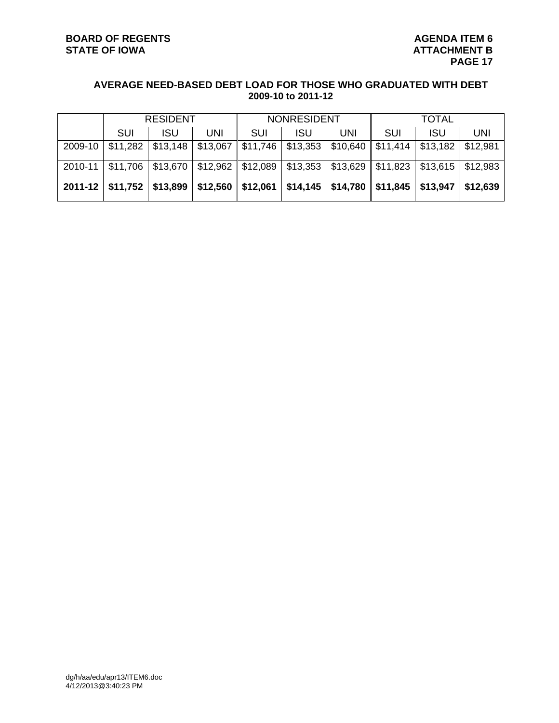# **AVERAGE NEED-BASED DEBT LOAD FOR THOSE WHO GRADUATED WITH DEBT 2009-10 to 2011-12**

|         | <b>RESIDENT</b>               |                     |          | <b>NONRESIDENT</b> |          |                     | TOTAL                       |                                                   |          |
|---------|-------------------------------|---------------------|----------|--------------------|----------|---------------------|-----------------------------|---------------------------------------------------|----------|
|         | SUI                           | ISU                 | UNI      | SUI                | ISU      | UNI                 | SUI                         | <b>ISU</b>                                        | UNI      |
| 2009-10 | \$11,282                      | \$13,148            | \$13,067 | \$11,746           | \$13,353 | \$10,640            | \$11,414                    | \$13,182                                          | \$12,981 |
| 2010-11 | \$11,706                      | \$13,670   \$12,962 |          | \$12,089           |          |                     |                             | $\vert$ \$13,353   \$13,629   \$11,823   \$13,615 | \$12,983 |
|         | 2011-12   \$11,752   \$13,899 |                     | \$12,560 | \$12,061           |          | $$14,145$ $$14,780$ | $\vert$ \$11,845   \$13,947 |                                                   | \$12,639 |